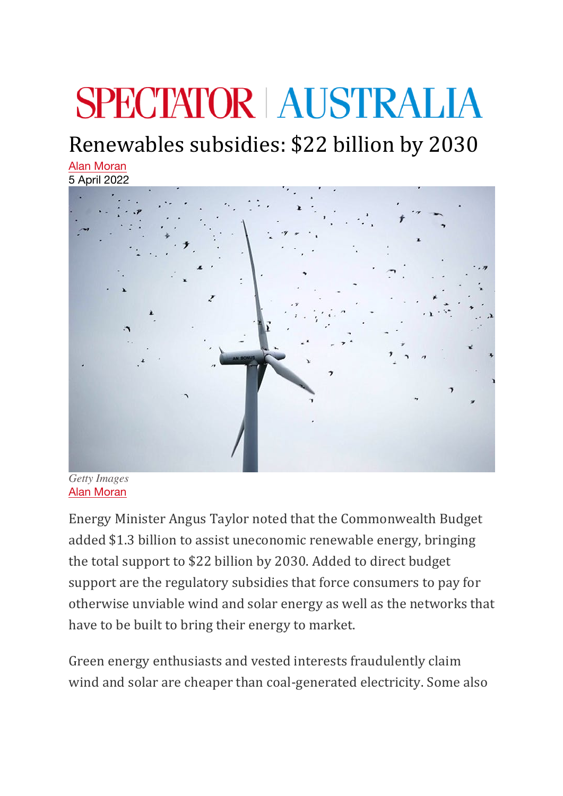## **SPECTATOR AUSTRALIA**

## Renewables subsidies: \$22 billion by 2030

Alan Moran 5 April 2022



*Getty Images* Alan Moran

Energy Minister Angus Taylor noted that the Commonwealth Budget added \$1.3 billion to assist uneconomic renewable energy, bringing the total support to \$22 billion by 2030. Added to direct budget support are the regulatory subsidies that force consumers to pay for otherwise unviable wind and solar energy as well as the networks that have to be built to bring their energy to market.

Green energy enthusiasts and vested interests fraudulently claim wind and solar are cheaper than coal-generated electricity. Some also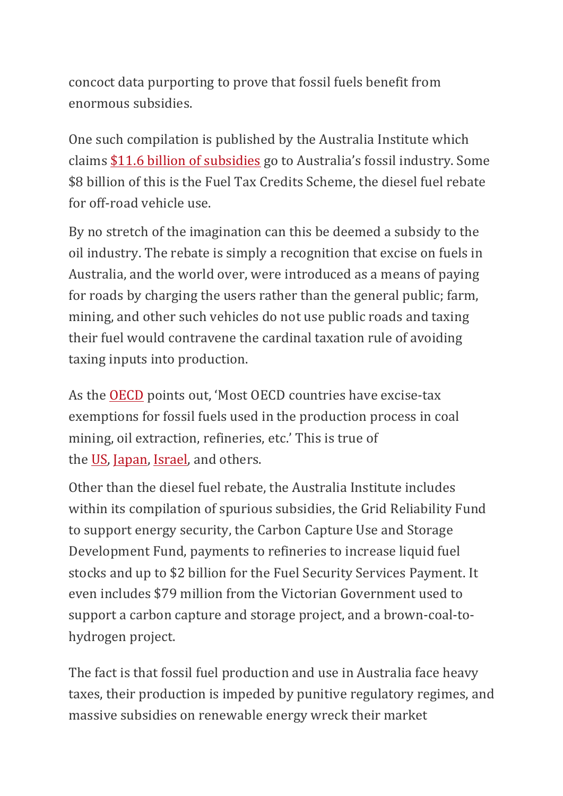concoct data purporting to prove that fossil fuels benefit from enormous subsidies.

One such compilation is published by the Australia Institute which claims \$11.6 billion of subsidies go to Australia's fossil industry. Some \$8 billion of this is the Fuel Tax Credits Scheme, the diesel fuel rebate for off-road vehicle use.

By no stretch of the imagination can this be deemed a subsidy to the oil industry. The rebate is simply a recognition that excise on fuels in Australia, and the world over, were introduced as a means of paying for roads by charging the users rather than the general public; farm, mining, and other such vehicles do not use public roads and taxing their fuel would contravene the cardinal taxation rule of avoiding taxing inputs into production.

As the OECD points out, 'Most OECD countries have excise-tax exemptions for fossil fuels used in the production process in coal mining, oil extraction, refineries, etc.' This is true of the US, Japan, Israel, and others.

Other than the diesel fuel rebate, the Australia Institute includes within its compilation of spurious subsidies, the Grid Reliability Fund to support energy security, the Carbon Capture Use and Storage Development Fund, payments to refineries to increase liquid fuel stocks and up to \$2 billion for the Fuel Security Services Payment. It even includes \$79 million from the Victorian Government used to support a carbon capture and storage project, and a brown-coal-tohydrogen project.

The fact is that fossil fuel production and use in Australia face heavy taxes, their production is impeded by punitive regulatory regimes, and massive subsidies on renewable energy wreck their market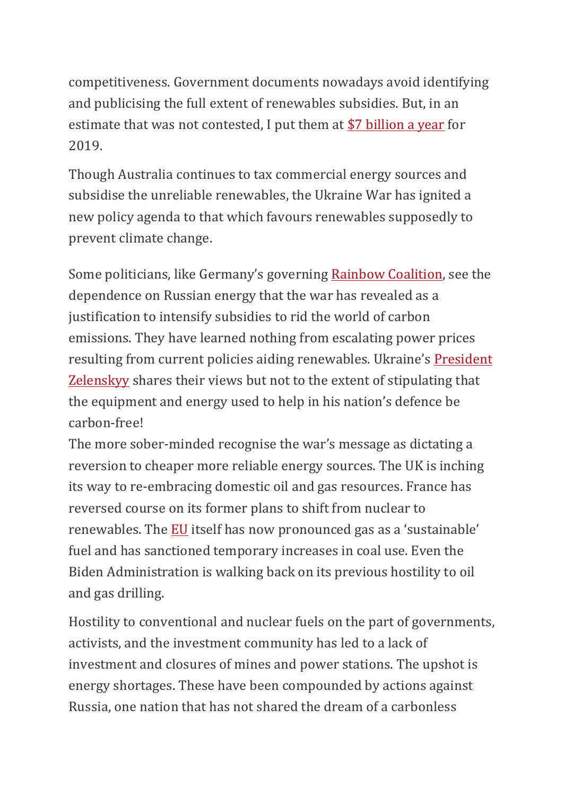competitiveness. Government documents nowadays avoid identifying and publicising the full extent of renewables subsidies. But, in an estimate that was not contested, I put them at \$7 billion a year for 2019.

Though Australia continues to tax commercial energy sources and subsidise the unreliable renewables, the Ukraine War has ignited a new policy agenda to that which favours renewables supposedly to prevent climate change.

Some politicians, like Germany's governing Rainbow Coalition, see the dependence on Russian energy that the war has revealed as a justification to intensify subsidies to rid the world of carbon emissions. They have learned nothing from escalating power prices resulting from current policies aiding renewables. Ukraine's President Zelenskyy shares their views but not to the extent of stipulating that the equipment and energy used to help in his nation's defence be carbon-free!

The more sober-minded recognise the war's message as dictating a reversion to cheaper more reliable energy sources. The UK is inching its way to re-embracing domestic oil and gas resources. France has reversed course on its former plans to shift from nuclear to renewables. The EU itself has now pronounced gas as a 'sustainable' fuel and has sanctioned temporary increases in coal use. Even the Biden Administration is walking back on its previous hostility to oil and gas drilling.

Hostility to conventional and nuclear fuels on the part of governments, activists, and the investment community has led to a lack of investment and closures of mines and power stations. The upshot is energy shortages. These have been compounded by actions against Russia, one nation that has not shared the dream of a carbonless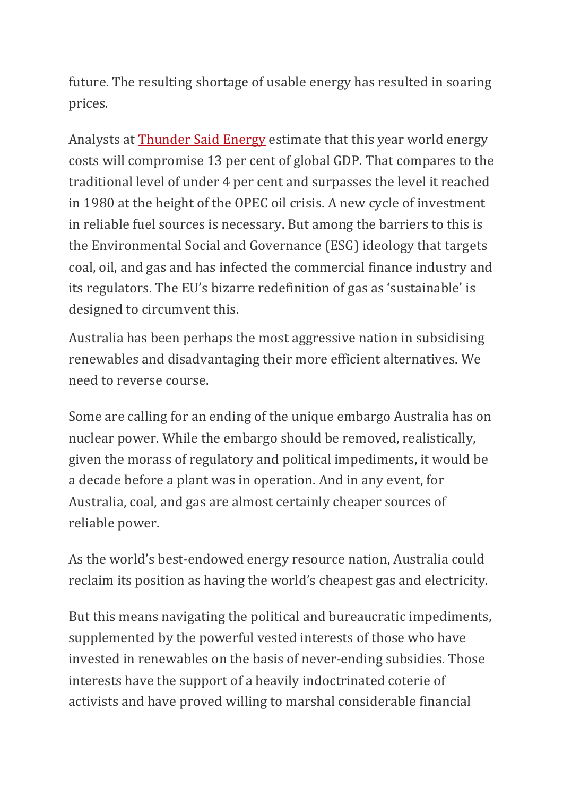future. The resulting shortage of usable energy has resulted in soaring prices.

Analysts at Thunder Said Energy estimate that this year world energy costs will compromise 13 per cent of global GDP. That compares to the traditional level of under 4 per cent and surpasses the level it reached in 1980 at the height of the OPEC oil crisis. A new cycle of investment in reliable fuel sources is necessary. But among the barriers to this is the Environmental Social and Governance (ESG) ideology that targets coal, oil, and gas and has infected the commercial finance industry and its regulators. The EU's bizarre redefinition of gas as 'sustainable' is designed to circumvent this.

Australia has been perhaps the most aggressive nation in subsidising renewables and disadvantaging their more efficient alternatives. We need to reverse course.

Some are calling for an ending of the unique embargo Australia has on nuclear power. While the embargo should be removed, realistically, given the morass of regulatory and political impediments, it would be a decade before a plant was in operation. And in any event, for Australia, coal, and gas are almost certainly cheaper sources of reliable power.

As the world's best-endowed energy resource nation, Australia could reclaim its position as having the world's cheapest gas and electricity.

But this means navigating the political and bureaucratic impediments, supplemented by the powerful vested interests of those who have invested in renewables on the basis of never-ending subsidies. Those interests have the support of a heavily indoctrinated coterie of activists and have proved willing to marshal considerable financial